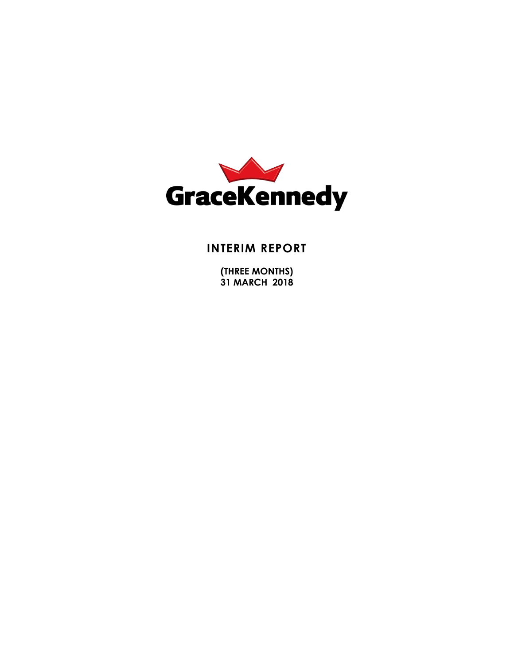

# **INTERIM REPORT**

**(THREE MONTHS) 31 MARCH 2018**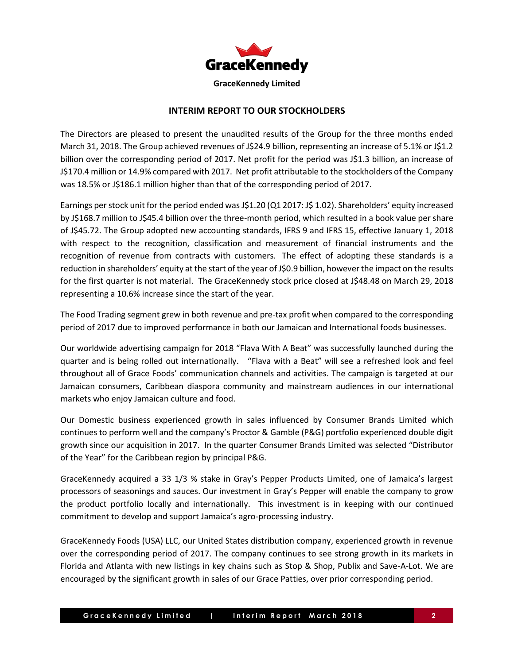

# **INTERIM REPORT TO OUR STOCKHOLDERS**

The Directors are pleased to present the unaudited results of the Group for the three months ended March 31, 2018. The Group achieved revenues of J\$24.9 billion, representing an increase of 5.1% or J\$1.2 billion over the corresponding period of 2017. Net profit for the period was J\$1.3 billion, an increase of J\$170.4 million or 14.9% compared with 2017. Net profit attributable to the stockholders of the Company was 18.5% or J\$186.1 million higher than that of the corresponding period of 2017.

Earnings per stock unit for the period ended was J\$1.20 (Q1 2017: J\$ 1.02). Shareholders' equity increased by J\$168.7 million to J\$45.4 billion over the three-month period, which resulted in a book value per share of J\$45.72. The Group adopted new accounting standards, IFRS 9 and IFRS 15, effective January 1, 2018 with respect to the recognition, classification and measurement of financial instruments and the recognition of revenue from contracts with customers. The effect of adopting these standards is a reduction in shareholders' equity at the start of the year of J\$0.9 billion, however the impact on the results for the first quarter is not material. The GraceKennedy stock price closed at J\$48.48 on March 29, 2018 representing a 10.6% increase since the start of the year.

The Food Trading segment grew in both revenue and pre-tax profit when compared to the corresponding period of 2017 due to improved performance in both our Jamaican and International foods businesses.

Our worldwide advertising campaign for 2018 "Flava With A Beat" was successfully launched during the quarter and is being rolled out internationally. "Flava with a Beat" will see a refreshed look and feel throughout all of Grace Foods' communication channels and activities. The campaign is targeted at our Jamaican consumers, Caribbean diaspora community and mainstream audiences in our international markets who enjoy Jamaican culture and food.

Our Domestic business experienced growth in sales influenced by Consumer Brands Limited which continues to perform well and the company's Proctor & Gamble (P&G) portfolio experienced double digit growth since our acquisition in 2017. In the quarter Consumer Brands Limited was selected "Distributor of the Year" for the Caribbean region by principal P&G.

GraceKennedy acquired a 33 1/3 % stake in Gray's Pepper Products Limited, one of Jamaica's largest processors of seasonings and sauces. Our investment in Gray's Pepper will enable the company to grow the product portfolio locally and internationally. This investment is in keeping with our continued commitment to develop and support Jamaica's agro-processing industry.

GraceKennedy Foods (USA) LLC, our United States distribution company, experienced growth in revenue over the corresponding period of 2017. The company continues to see strong growth in its markets in Florida and Atlanta with new listings in key chains such as Stop & Shop, Publix and Save-A-Lot. We are encouraged by the significant growth in sales of our Grace Patties, over prior corresponding period.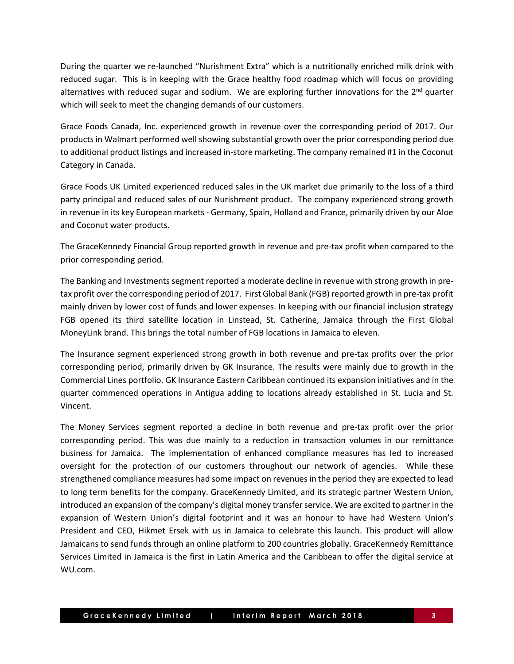During the quarter we re-launched "Nurishment Extra" which is a nutritionally enriched milk drink with reduced sugar. This is in keeping with the Grace healthy food roadmap which will focus on providing alternatives with reduced sugar and sodium. We are exploring further innovations for the 2<sup>nd</sup> quarter which will seek to meet the changing demands of our customers.

Grace Foods Canada, Inc. experienced growth in revenue over the corresponding period of 2017. Our products in Walmart performed wellshowing substantial growth over the prior corresponding period due to additional product listings and increased in-store marketing. The company remained #1 in the Coconut Category in Canada.

Grace Foods UK Limited experienced reduced sales in the UK market due primarily to the loss of a third party principal and reduced sales of our Nurishment product. The company experienced strong growth in revenue in its key European markets- Germany, Spain, Holland and France, primarily driven by our Aloe and Coconut water products.

The GraceKennedy Financial Group reported growth in revenue and pre-tax profit when compared to the prior corresponding period.

The Banking and Investments segment reported a moderate decline in revenue with strong growth in pretax profit over the corresponding period of 2017. First Global Bank (FGB) reported growth in pre-tax profit mainly driven by lower cost of funds and lower expenses. In keeping with our financial inclusion strategy FGB opened its third satellite location in Linstead, St. Catherine, Jamaica through the First Global MoneyLink brand. This brings the total number of FGB locations in Jamaica to eleven.

The Insurance segment experienced strong growth in both revenue and pre-tax profits over the prior corresponding period, primarily driven by GK Insurance. The results were mainly due to growth in the Commercial Lines portfolio. GK Insurance Eastern Caribbean continued its expansion initiatives and in the quarter commenced operations in Antigua adding to locations already established in St. Lucia and St. Vincent.

The Money Services segment reported a decline in both revenue and pre-tax profit over the prior corresponding period. This was due mainly to a reduction in transaction volumes in our remittance business for Jamaica. The implementation of enhanced compliance measures has led to increased oversight for the protection of our customers throughout our network of agencies. While these strengthened compliance measures had some impact on revenues in the period they are expected to lead to long term benefits for the company. GraceKennedy Limited, and its strategic partner Western Union, introduced an expansion of the company's digital money transferservice. We are excited to partner in the expansion of Western Union's digital footprint and it was an honour to have had Western Union's President and CEO, Hikmet Ersek with us in Jamaica to celebrate this launch. This product will allow Jamaicans to send funds through an online platform to 200 countries globally. GraceKennedy Remittance Services Limited in Jamaica is the first in Latin America and the Caribbean to offer the digital service at WU.com.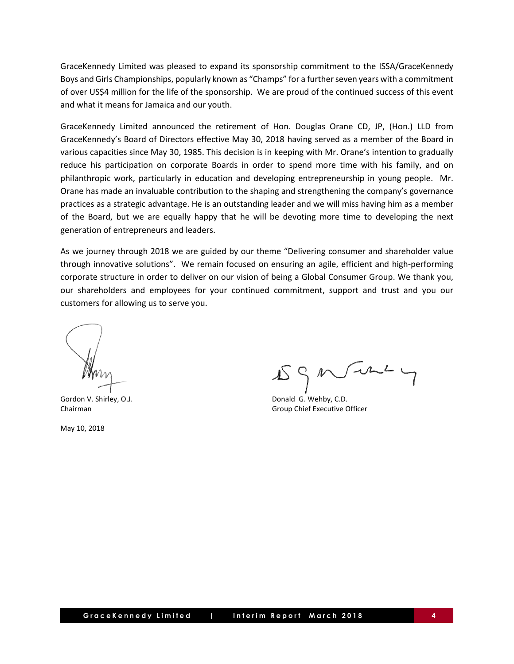GraceKennedy Limited was pleased to expand its sponsorship commitment to the ISSA/GraceKennedy Boys and Girls Championships, popularly known as "Champs" for a furtherseven years with a commitment of over US\$4 million for the life of the sponsorship. We are proud of the continued success of this event and what it means for Jamaica and our youth.

GraceKennedy Limited announced the retirement of Hon. Douglas Orane CD, JP, (Hon.) LLD from GraceKennedy's Board of Directors effective May 30, 2018 having served as a member of the Board in various capacities since May 30, 1985. This decision is in keeping with Mr. Orane's intention to gradually reduce his participation on corporate Boards in order to spend more time with his family, and on philanthropic work, particularly in education and developing entrepreneurship in young people. Mr. Orane has made an invaluable contribution to the shaping and strengthening the company's governance practices as a strategic advantage. He is an outstanding leader and we will miss having him as a member of the Board, but we are equally happy that he will be devoting more time to developing the next generation of entrepreneurs and leaders.

As we journey through 2018 we are guided by our theme "Delivering consumer and shareholder value through innovative solutions". We remain focused on ensuring an agile, efficient and high-performing corporate structure in order to deliver on our vision of being a Global Consumer Group. We thank you, our shareholders and employees for your continued commitment, support and trust and you our customers for allowing us to serve you.

May 10, 2018

 $J + L$ 

Gordon V. Shirley, O.J. **Donald G. Wehby, C.D.** Donald G. Wehby, C.D. Chairman Group Chief Executive Officer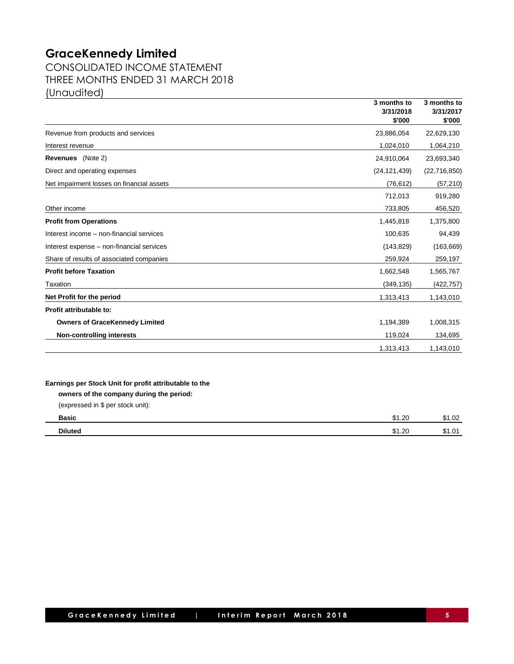CONSOLIDATED INCOME STATEMENT THREE MONTHS ENDED 31 MARCH 2018 (Unaudited)

|                                                        | 3 months to<br>3/31/2018<br>\$'000 | 3 months to<br>3/31/2017<br>\$'000 |
|--------------------------------------------------------|------------------------------------|------------------------------------|
| Revenue from products and services                     | 23,886,054                         | 22,629,130                         |
| Interest revenue                                       | 1,024,010                          | 1,064,210                          |
| <b>Revenues</b> (Note 2)                               | 24,910,064                         | 23,693,340                         |
| Direct and operating expenses                          | (24, 121, 439)                     | (22, 716, 850)                     |
| Net impairment losses on financial assets              | (76, 612)                          | (57, 210)                          |
|                                                        | 712,013                            | 919,280                            |
| Other income                                           | 733,805                            | 456,520                            |
| <b>Profit from Operations</b>                          | 1,445,818                          | 1,375,800                          |
| Interest income - non-financial services               | 100,635                            | 94,439                             |
| Interest expense - non-financial services              | (143, 829)                         | (163, 669)                         |
| Share of results of associated companies               | 259,924                            | 259,197                            |
| <b>Profit before Taxation</b>                          | 1,662,548                          | 1,565,767                          |
| Taxation                                               | (349, 135)                         | (422, 757)                         |
| Net Profit for the period                              | 1,313,413                          | 1,143,010                          |
| Profit attributable to:                                |                                    |                                    |
| <b>Owners of GraceKennedy Limited</b>                  | 1,194,389                          | 1,008,315                          |
| <b>Non-controlling interests</b>                       | 119,024                            | 134,695                            |
|                                                        | 1,313,413                          | 1,143,010                          |
|                                                        |                                    |                                    |
| Earnings per Stock Unit for profit attributable to the |                                    |                                    |
| owners of the company during the period:               |                                    |                                    |
| (expressed in \$ per stock unit):                      |                                    |                                    |
| <b>Basic</b>                                           | \$1.20                             | \$1.02                             |

**Diluted** \$1.20 \$1.01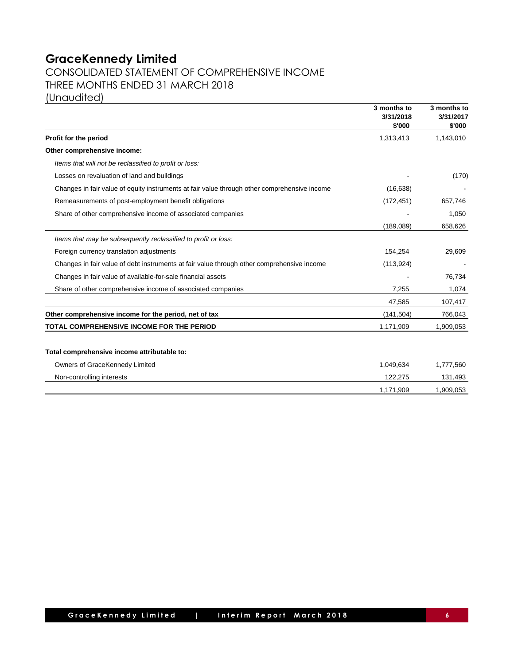# CONSOLIDATED STATEMENT OF COMPREHENSIVE INCOME THREE MONTHS ENDED 31 MARCH 2018 (Unaudited)

|                                                                                              | 3 months to<br>3/31/2018<br>\$'000 | 3 months to<br>3/31/2017<br>\$'000 |
|----------------------------------------------------------------------------------------------|------------------------------------|------------------------------------|
| Profit for the period                                                                        | 1,313,413                          | 1,143,010                          |
| Other comprehensive income:                                                                  |                                    |                                    |
| Items that will not be reclassified to profit or loss:                                       |                                    |                                    |
| Losses on revaluation of land and buildings                                                  |                                    | (170)                              |
| Changes in fair value of equity instruments at fair value through other comprehensive income | (16, 638)                          |                                    |
| Remeasurements of post-employment benefit obligations                                        | (172, 451)                         | 657,746                            |
| Share of other comprehensive income of associated companies                                  |                                    | 1,050                              |
|                                                                                              | (189,089)                          | 658,626                            |
| Items that may be subsequently reclassified to profit or loss:                               |                                    |                                    |
| Foreign currency translation adjustments                                                     | 154,254                            | 29,609                             |
| Changes in fair value of debt instruments at fair value through other comprehensive income   | (113, 924)                         |                                    |
| Changes in fair value of available-for-sale financial assets                                 |                                    | 76,734                             |
| Share of other comprehensive income of associated companies                                  | 7,255                              | 1,074                              |
|                                                                                              | 47,585                             | 107,417                            |
| Other comprehensive income for the period, net of tax                                        | (141, 504)                         | 766,043                            |
| TOTAL COMPREHENSIVE INCOME FOR THE PERIOD                                                    | 1,171,909                          | 1,909,053                          |
| Total comprehensive income attributable to:                                                  |                                    |                                    |
| Owners of GraceKennedy Limited                                                               | 1,049,634                          | 1,777,560                          |
| Non-controlling interests                                                                    | 122,275                            | 131,493                            |
|                                                                                              | 1,171,909                          | 1,909,053                          |
|                                                                                              |                                    |                                    |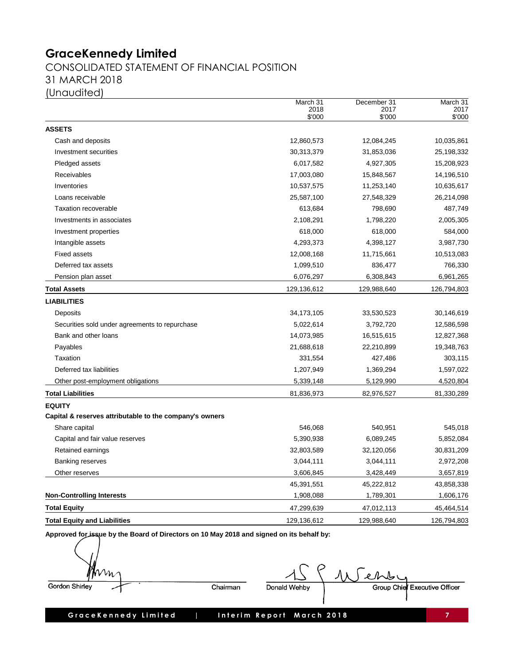CONSOLIDATED STATEMENT OF FINANCIAL POSITION 31 MARCH 2018 (Unaudited)

|                                                         | March 31<br>2018<br>\$'000 | December 31<br>2017<br>\$'000 | March 31<br>2017<br>\$'000 |
|---------------------------------------------------------|----------------------------|-------------------------------|----------------------------|
| <b>ASSETS</b>                                           |                            |                               |                            |
| Cash and deposits                                       | 12,860,573                 | 12,084,245                    | 10,035,861                 |
| Investment securities                                   | 30,313,379                 | 31,853,036                    | 25,198,332                 |
| Pledged assets                                          | 6,017,582                  | 4,927,305                     | 15,208,923                 |
| Receivables                                             | 17,003,080                 | 15,848,567                    | 14,196,510                 |
| Inventories                                             | 10,537,575                 | 11,253,140                    | 10,635,617                 |
| Loans receivable                                        | 25,587,100                 | 27,548,329                    | 26,214,098                 |
| <b>Taxation recoverable</b>                             | 613,684                    | 798,690                       | 487,749                    |
| Investments in associates                               | 2,108,291                  | 1,798,220                     | 2,005,305                  |
| Investment properties                                   | 618,000                    | 618,000                       | 584,000                    |
| Intangible assets                                       | 4,293,373                  | 4,398,127                     | 3,987,730                  |
| Fixed assets                                            | 12,008,168                 | 11,715,661                    | 10,513,083                 |
| Deferred tax assets                                     | 1,099,510                  | 836,477                       | 766,330                    |
| Pension plan asset                                      | 6,076,297                  | 6,308,843                     | 6,961,265                  |
| <b>Total Assets</b>                                     | 129,136,612                | 129,988,640                   | 126,794,803                |
| <b>LIABILITIES</b>                                      |                            |                               |                            |
| Deposits                                                | 34, 173, 105               | 33,530,523                    | 30,146,619                 |
| Securities sold under agreements to repurchase          | 5,022,614                  | 3,792,720                     | 12,586,598                 |
| Bank and other loans                                    | 14,073,985                 | 16,515,615                    | 12,827,368                 |
| Payables                                                | 21,688,618                 | 22,210,899                    | 19,348,763                 |
| Taxation                                                | 331,554                    | 427,486                       | 303,115                    |
| Deferred tax liabilities                                | 1,207,949                  | 1,369,294                     | 1,597,022                  |
| Other post-employment obligations                       | 5,339,148                  | 5,129,990                     | 4,520,804                  |
| <b>Total Liabilities</b>                                | 81,836,973                 | 82,976,527                    | 81,330,289                 |
| <b>EQUITY</b>                                           |                            |                               |                            |
| Capital & reserves attributable to the company's owners |                            |                               |                            |
| Share capital                                           | 546,068                    | 540,951                       | 545,018                    |
| Capital and fair value reserves                         | 5,390,938                  | 6,089,245                     | 5,852,084                  |
| Retained earnings                                       | 32,803,589                 | 32,120,056                    | 30,831,209                 |
| <b>Banking reserves</b>                                 | 3,044,111                  | 3,044,111                     | 2,972,208                  |
| Other reserves                                          | 3,606,845                  | 3,428,449                     | 3,657,819                  |
|                                                         | 45,391,551                 | 45,222,812                    | 43,858,338                 |
| <b>Non-Controlling Interests</b>                        | 1,908,088                  | 1,789,301                     | 1,606,176                  |
| <b>Total Equity</b>                                     | 47,299,639                 | 47,012,113                    | 45,464,514                 |
| <b>Total Equity and Liabilities</b>                     | 129,136,612                | 129,988,640                   | 126,794,803                |
|                                                         |                            |                               |                            |

Approved for issue by the Board of Directors on 10 May 2018 and signed on its behalf by:

Vm Gordon Shirley

Chairman

Werb Donald Wehby

Group Chief Executive Officer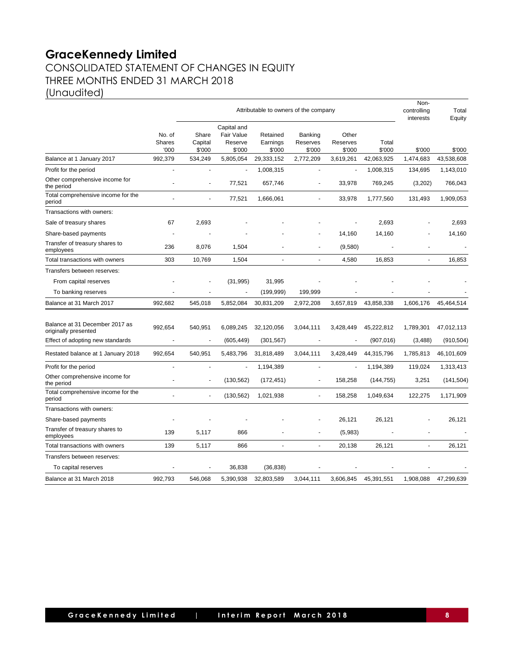# **GraceKennedy Limited** CONSOLIDATED STATEMENT OF CHANGES IN EQUITY THREE MONTHS ENDED 31 MARCH 2018

(Unaudited)

| Attributable to owners of the company                  |                                 |                            |                                                |                                |                                      | Non-<br>controlling<br>interests | Total<br>Equity |           |            |
|--------------------------------------------------------|---------------------------------|----------------------------|------------------------------------------------|--------------------------------|--------------------------------------|----------------------------------|-----------------|-----------|------------|
|                                                        | No. of<br><b>Shares</b><br>'000 | Share<br>Capital<br>\$'000 | Capital and<br>Fair Value<br>Reserve<br>\$'000 | Retained<br>Earnings<br>\$'000 | <b>Banking</b><br>Reserves<br>\$'000 | Other<br>Reserves<br>\$'000      | Total<br>\$'000 | \$'000    | \$'000     |
| Balance at 1 January 2017                              | 992,379                         | 534,249                    | 5,805,054                                      | 29,333,152                     | 2,772,209                            | 3,619,261                        | 42,063,925      | 1,474,683 | 43,538,608 |
| Profit for the period                                  |                                 |                            |                                                | 1,008,315                      | ä,                                   |                                  | 1,008,315       | 134,695   | 1,143,010  |
| Other comprehensive income for<br>the period           |                                 | L,                         | 77,521                                         | 657,746                        | ٠                                    | 33,978                           | 769,245         | (3,202)   | 766,043    |
| Total comprehensive income for the<br>period           |                                 |                            | 77,521                                         | 1,666,061                      | $\overline{a}$                       | 33,978                           | 1,777,560       | 131,493   | 1,909,053  |
| Transactions with owners:                              |                                 |                            |                                                |                                |                                      |                                  |                 |           |            |
| Sale of treasury shares                                | 67                              | 2,693                      |                                                |                                |                                      |                                  | 2,693           |           | 2,693      |
| Share-based payments                                   |                                 |                            |                                                |                                |                                      | 14,160                           | 14,160          |           | 14,160     |
| Transfer of treasury shares to<br>employees            | 236                             | 8,076                      | 1,504                                          |                                | ä,                                   | (9,580)                          |                 |           |            |
| Total transactions with owners                         | 303                             | 10,769                     | 1,504                                          |                                | $\overline{a}$                       | 4,580                            | 16,853          |           | 16,853     |
| Transfers between reserves:                            |                                 |                            |                                                |                                |                                      |                                  |                 |           |            |
| From capital reserves                                  |                                 |                            | (31, 995)                                      | 31,995                         |                                      |                                  |                 |           |            |
| To banking reserves                                    | ٠                               |                            |                                                | (199, 999)                     | 199,999                              |                                  |                 |           |            |
| Balance at 31 March 2017                               | 992.682                         | 545.018                    | 5,852,084                                      | 30,831,209                     | 2,972,208                            | 3,657,819                        | 43,858,338      | 1,606,176 | 45,464,514 |
| Balance at 31 December 2017 as<br>originally presented | 992,654                         | 540,951                    | 6,089,245                                      | 32,120,056                     | 3,044,111                            | 3,428,449                        | 45,222,812      | 1,789,301 | 47,012,113 |
| Effect of adopting new standards                       | $\blacksquare$                  | ÷                          | (605, 449)                                     | (301, 567)                     | ÷,                                   | $\overline{a}$                   | (907, 016)      | (3,488)   | (910, 504) |
| Restated balance at 1 January 2018                     | 992,654                         | 540,951                    | 5,483,796                                      | 31,818,489                     | 3,044,111                            | 3,428,449                        | 44,315,796      | 1,785,813 | 46,101,609 |
| Profit for the period                                  | $\overline{a}$                  | ä,                         |                                                | 1,194,389                      | ä,                                   | $\overline{a}$                   | 1,194,389       | 119,024   | 1,313,413  |
| Other comprehensive income for<br>the period           |                                 | ÷,                         | (130, 562)                                     | (172, 451)                     | ÷,                                   | 158,258                          | (144, 755)      | 3,251     | (141, 504) |
| Total comprehensive income for the<br>period           |                                 | ÷,                         | (130, 562)                                     | 1,021,938                      | ÷,                                   | 158,258                          | 1,049,634       | 122,275   | 1,171,909  |
| Transactions with owners:                              |                                 |                            |                                                |                                |                                      |                                  |                 |           |            |
| Share-based payments                                   |                                 |                            |                                                |                                |                                      | 26,121                           | 26,121          |           | 26,121     |
| Transfer of treasury shares to<br>employees            | 139                             | 5,117                      | 866                                            |                                |                                      | (5,983)                          |                 |           |            |
| Total transactions with owners                         | 139                             | 5,117                      | 866                                            | $\overline{\phantom{a}}$       | $\blacksquare$                       | 20,138                           | 26,121          | ÷,        | 26,121     |
| Transfers between reserves:                            |                                 |                            |                                                |                                |                                      |                                  |                 |           |            |
| To capital reserves                                    |                                 |                            | 36,838                                         | (36, 838)                      |                                      |                                  |                 |           |            |
| Balance at 31 March 2018                               | 992,793                         | 546,068                    | 5,390,938                                      | 32,803,589                     | 3,044,111                            | 3,606,845                        | 45,391,551      | 1,908,088 | 47,299,639 |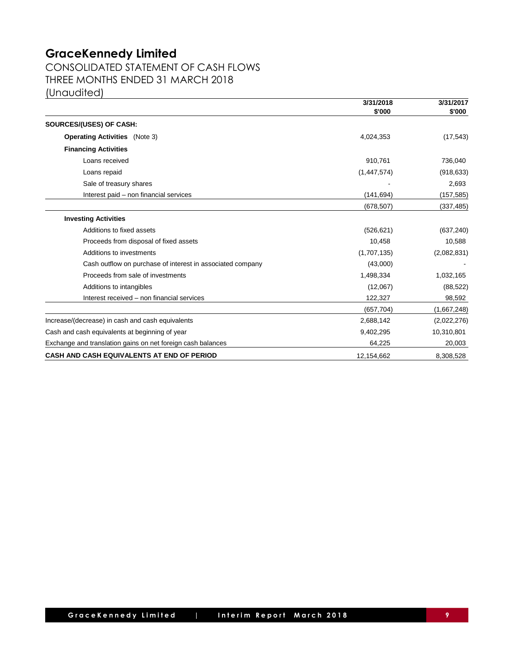CONSOLIDATED STATEMENT OF CASH FLOWS THREE MONTHS ENDED 31 MARCH 2018 (Unaudited)

|                                                             | 3/31/2018   | 3/31/2017   |  |
|-------------------------------------------------------------|-------------|-------------|--|
|                                                             | \$'000      | \$'000      |  |
| SOURCES/(USES) OF CASH:                                     |             |             |  |
| <b>Operating Activities</b> (Note 3)                        | 4,024,353   | (17, 543)   |  |
| <b>Financing Activities</b>                                 |             |             |  |
| Loans received                                              | 910,761     | 736,040     |  |
| Loans repaid                                                | (1,447,574) | (918, 633)  |  |
| Sale of treasury shares                                     |             | 2,693       |  |
| Interest paid - non financial services                      | (141, 694)  | (157, 585)  |  |
|                                                             | (678, 507)  | (337, 485)  |  |
| <b>Investing Activities</b>                                 |             |             |  |
| Additions to fixed assets                                   | (526, 621)  | (637, 240)  |  |
| Proceeds from disposal of fixed assets                      | 10,458      | 10,588      |  |
| Additions to investments                                    | (1,707,135) | (2,082,831) |  |
| Cash outflow on purchase of interest in associated company  | (43,000)    |             |  |
| Proceeds from sale of investments                           | 1,498,334   | 1,032,165   |  |
| Additions to intangibles                                    | (12,067)    | (88, 522)   |  |
| Interest received - non financial services                  | 122,327     | 98,592      |  |
|                                                             | (657, 704)  | (1,667,248) |  |
| Increase/(decrease) in cash and cash equivalents            | 2,688,142   | (2,022,276) |  |
| Cash and cash equivalents at beginning of year              | 9,402,295   | 10,310,801  |  |
| Exchange and translation gains on net foreign cash balances | 64,225      | 20,003      |  |
| CASH AND CASH EQUIVALENTS AT END OF PERIOD                  | 12,154,662  | 8,308,528   |  |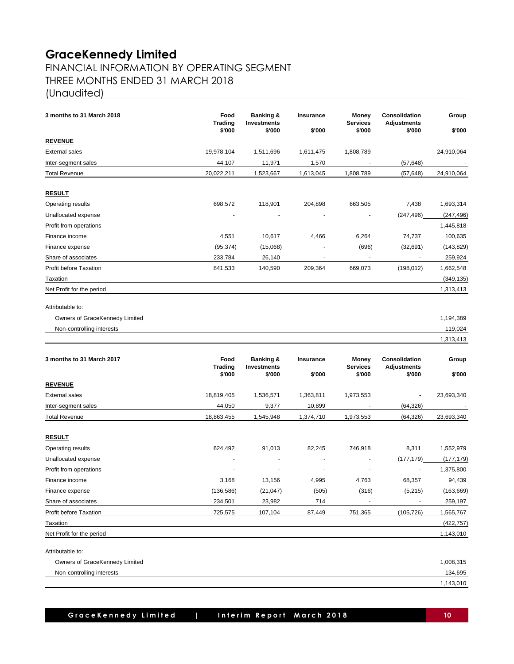# FINANCIAL INFORMATION BY OPERATING SEGMENT THREE MONTHS ENDED 31 MARCH 2018 (Unaudited)

| 3 months to 31 March 2018      | Food<br><b>Trading</b><br>\$'000 | <b>Banking &amp;</b><br><b>Investments</b><br>\$'000 | Insurance<br>\$'000        | Money<br><b>Services</b><br>\$'000 | Consolidation<br><b>Adjustments</b><br>\$'000 | Group<br>\$'000 |
|--------------------------------|----------------------------------|------------------------------------------------------|----------------------------|------------------------------------|-----------------------------------------------|-----------------|
| <u>REVENUE</u>                 |                                  |                                                      |                            |                                    |                                               |                 |
| External sales                 | 19,978,104                       | 1,511,696                                            | 1,611,475                  | 1,808,789                          |                                               | 24,910,064      |
| Inter-segment sales            | 44,107                           | 11,971                                               | 1,570                      |                                    | (57, 648)                                     |                 |
| <b>Total Revenue</b>           | 20,022,211                       | 1,523,667                                            | 1,613,045                  | 1,808,789                          | (57, 648)                                     | 24,910,064      |
|                                |                                  |                                                      |                            |                                    |                                               |                 |
| <b>RESULT</b>                  |                                  |                                                      |                            |                                    |                                               |                 |
| Operating results              | 698,572                          | 118,901                                              | 204,898                    | 663,505                            | 7,438                                         | 1,693,314       |
| Unallocated expense            |                                  |                                                      | $\blacksquare$             | $\overline{a}$                     | (247, 496)                                    | (247, 496)      |
| Profit from operations         |                                  |                                                      |                            |                                    |                                               | 1,445,818       |
| Finance income                 | 4,551                            | 10,617                                               | 4,466                      | 6,264                              | 74,737                                        | 100,635         |
| Finance expense                | (95, 374)                        | (15,068)                                             |                            | (696)                              | (32,691)                                      | (143, 829)      |
| Share of associates            | 233,784                          | 26,140                                               | $\overline{a}$             | $\blacksquare$                     | $\blacksquare$                                | 259,924         |
| Profit before Taxation         | 841,533                          | 140,590                                              | 209,364                    | 669,073                            | (198, 012)                                    | 1,662,548       |
| Taxation                       |                                  |                                                      |                            |                                    |                                               | (349, 135)      |
| Net Profit for the period      |                                  |                                                      |                            |                                    |                                               | 1,313,413       |
| Attributable to:               |                                  |                                                      |                            |                                    |                                               |                 |
| Owners of GraceKennedy Limited |                                  |                                                      |                            |                                    |                                               | 1,194,389       |
| Non-controlling interests      |                                  |                                                      |                            |                                    |                                               | 119,024         |
|                                |                                  |                                                      |                            |                                    |                                               | 1,313,413       |
| 3 months to 31 March 2017      | Food<br><b>Trading</b><br>\$'000 | <b>Banking &amp;</b><br><b>Investments</b><br>\$'000 | <b>Insurance</b><br>\$'000 | Money<br><b>Services</b><br>\$'000 | Consolidation<br>Adjustments<br>\$'000        | Group<br>\$'000 |
| <b>REVENUE</b>                 |                                  |                                                      |                            |                                    |                                               |                 |
| External sales                 | 18,819,405                       | 1,536,571                                            | 1,363,811                  | 1,973,553                          | $\overline{\phantom{a}}$                      | 23,693,340      |
| Inter-segment sales            | 44,050                           | 9,377                                                | 10,899                     | $\blacksquare$                     | (64, 326)                                     |                 |
| <b>Total Revenue</b>           | 18,863,455                       |                                                      | 1,374,710                  |                                    | (64, 326)                                     |                 |
|                                |                                  | 1,545,948                                            |                            | 1,973,553                          |                                               | 23,693,340      |
| <u>RESULT</u>                  |                                  |                                                      |                            |                                    |                                               |                 |
| Operating results              | 624,492                          | 91,013                                               | 82,245                     | 746,918                            | 8,311                                         | 1,552,979       |
| Unallocated expense            |                                  | $\overline{\phantom{a}}$                             | $\overline{\phantom{a}}$   | $\blacksquare$                     | (177, 179)                                    | (177, 179)      |
| Profit from operations         |                                  |                                                      |                            |                                    |                                               | 1,375,800       |
| Finance income                 | 3,168                            | 13,156                                               | 4,995                      | 4,763                              | 68,357                                        | 94,439          |
| Finance expense                | (136, 586)                       | (21, 047)                                            | (505)                      | (316)                              | (5, 215)                                      | (163, 669)      |
| Share of associates            | 234,501                          | 23,982                                               | 714                        |                                    |                                               | 259,197         |
| Profit before Taxation         | 725,575                          | 107,104                                              | 87,449                     | 751,365                            | (105, 726)                                    | 1,565,767       |
| Taxation                       |                                  |                                                      |                            |                                    |                                               | (422, 757)      |
| Net Profit for the period      |                                  |                                                      |                            |                                    |                                               | 1,143,010       |
| Attributable to:               |                                  |                                                      |                            |                                    |                                               |                 |
| Owners of GraceKennedy Limited |                                  |                                                      |                            |                                    |                                               | 1,008,315       |
| Non-controlling interests      |                                  |                                                      |                            |                                    |                                               | 134,695         |
|                                |                                  |                                                      |                            |                                    |                                               | 1,143,010       |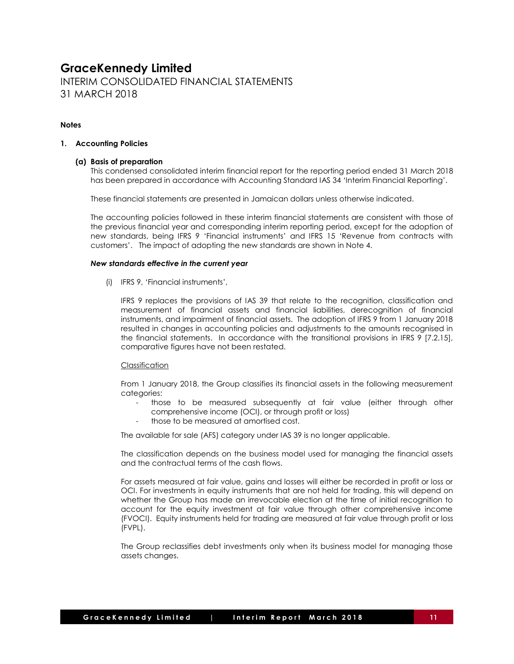INTERIM CONSOLIDATED FINANCIAL STATEMENTS 31 MARCH 2018

## **Notes**

### **1. Accounting Policies**

## **(a) Basis of preparation**

This condensed consolidated interim financial report for the reporting period ended 31 March 2018 has been prepared in accordance with Accounting Standard IAS 34 'Interim Financial Reporting'.

These financial statements are presented in Jamaican dollars unless otherwise indicated.

The accounting policies followed in these interim financial statements are consistent with those of the previous financial year and corresponding interim reporting period, except for the adoption of new standards, being IFRS 9 'Financial instruments' and IFRS 15 'Revenue from contracts with customers'. The impact of adopting the new standards are shown in Note 4.

#### *New standards effective in the current year*

(i) IFRS 9, 'Financial instruments',

IFRS 9 replaces the provisions of IAS 39 that relate to the recognition, classification and measurement of financial assets and financial liabilities, derecognition of financial instruments, and impairment of financial assets. The adoption of IFRS 9 from 1 January 2018 resulted in changes in accounting policies and adjustments to the amounts recognised in the financial statements. In accordance with the transitional provisions in IFRS 9 [7.2.15], comparative figures have not been restated.

### Classification

From 1 January 2018, the Group classifies its financial assets in the following measurement categories:

- those to be measured subsequently at fair value (either through other comprehensive income (OCI), or through profit or loss)
- those to be measured at amortised cost.

The available for sale (AFS) category under IAS 39 is no longer applicable.

The classification depends on the business model used for managing the financial assets and the contractual terms of the cash flows.

For assets measured at fair value, gains and losses will either be recorded in profit or loss or OCI. For investments in equity instruments that are not held for trading, this will depend on whether the Group has made an irrevocable election at the time of initial recognition to account for the equity investment at fair value through other comprehensive income (FVOCI). Equity instruments held for trading are measured at fair value through profit or loss (FVPL).

The Group reclassifies debt investments only when its business model for managing those assets changes.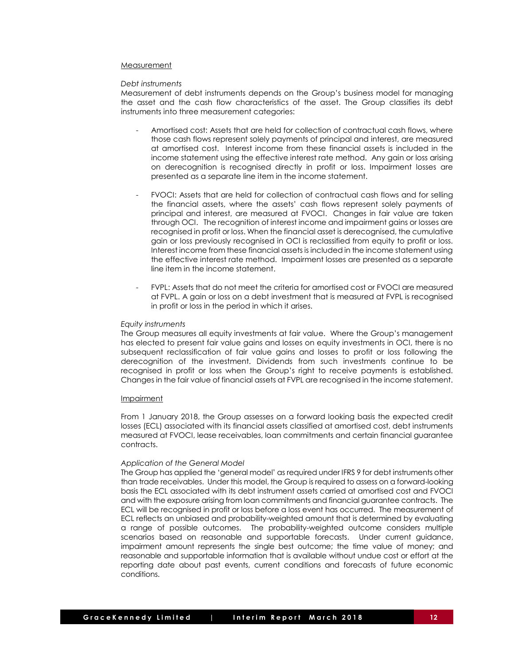#### Measurement

#### *Debt instruments*

Measurement of debt instruments depends on the Group's business model for managing the asset and the cash flow characteristics of the asset. The Group classifies its debt instruments into three measurement categories:

- Amortised cost: Assets that are held for collection of contractual cash flows, where those cash flows represent solely payments of principal and interest, are measured at amortised cost. Interest income from these financial assets is included in the income statement using the effective interest rate method. Any gain or loss arising on derecognition is recognised directly in profit or loss. Impairment losses are presented as a separate line item in the income statement.
- FVOCI: Assets that are held for collection of contractual cash flows and for selling the financial assets, where the assets' cash flows represent solely payments of principal and interest, are measured at FVOCI. Changes in fair value are taken through OCI. The recognition of interest income and impairment gains or losses are recognised in profit or loss. When the financial asset is derecognised, the cumulative gain or loss previously recognised in OCI is reclassified from equity to profit or loss. Interest income from these financial assets is included in the income statement using the effective interest rate method. Impairment losses are presented as a separate line item in the income statement.
- FVPL: Assets that do not meet the criteria for amortised cost or FVOCI are measured at FVPL. A gain or loss on a debt investment that is measured at FVPL is recognised in profit or loss in the period in which it arises.

#### *Equity instruments*

The Group measures all equity investments at fair value. Where the Group's management has elected to present fair value gains and losses on equity investments in OCI, there is no subsequent reclassification of fair value gains and losses to profit or loss following the derecognition of the investment. Dividends from such investments continue to be recognised in profit or loss when the Group's right to receive payments is established. Changes in the fair value of financial assets at FVPL are recognised in the income statement.

#### Impairment

From 1 January 2018, the Group assesses on a forward looking basis the expected credit losses (ECL) associated with its financial assets classified at amortised cost, debt instruments measured at FVOCI, lease receivables, loan commitments and certain financial guarantee contracts.

#### *Application of the General Model*

The Group has applied the 'general model' as required under IFRS 9 for debt instruments other than trade receivables. Under this model, the Group is required to assess on a forward-looking basis the ECL associated with its debt instrument assets carried at amortised cost and FVOCI and with the exposure arising from loan commitments and financial guarantee contracts. The ECL will be recognised in profit or loss before a loss event has occurred. The measurement of ECL reflects an unbiased and probability-weighted amount that is determined by evaluating a range of possible outcomes. The probability-weighted outcome considers multiple scenarios based on reasonable and supportable forecasts. Under current guidance, impairment amount represents the single best outcome; the time value of money; and reasonable and supportable information that is available without undue cost or effort at the reporting date about past events, current conditions and forecasts of future economic conditions.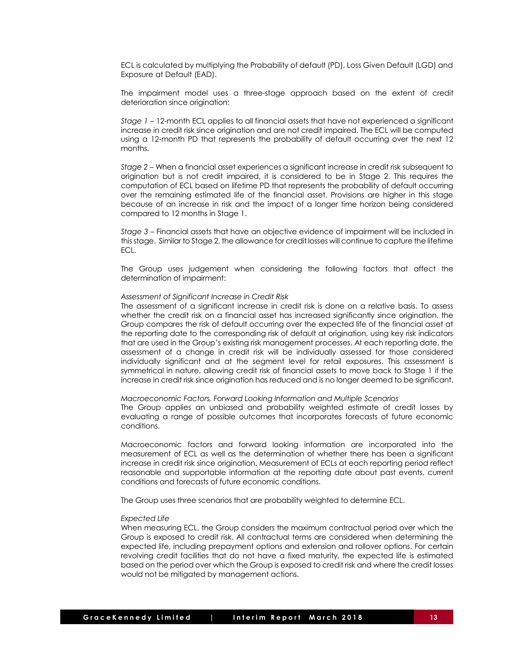ECL is calculated by multiplying the Probability of default (PD), Loss Given Default (LGD) and Exposure at Default (EAD).

The impairment model uses a three-stage approach based on the extent of credit deterioration since origination:

*Stage 1* – 12-month ECL applies to all financial assets that have not experienced a significant increase in credit risk since origination and are not credit impaired. The ECL will be computed using a 12-month PD that represents the probability of default occurring over the next 12 months.

*Stage 2* – When a financial asset experiences a significant increase in credit risk subsequent to origination but is not credit impaired, it is considered to be in Stage 2. This requires the computation of ECL based on lifetime PD that represents the probability of default occurring over the remaining estimated life of the financial asset. Provisions are higher in this stage because of an increase in risk and the impact of a longer time horizon being considered compared to 12 months in Stage 1.

*Stage 3* – Financial assets that have an objective evidence of impairment will be included in this stage. Similar to Stage 2, the allowance for credit losses will continue to capture the lifetime ECL.

The Group uses judgement when considering the following factors that affect the determination of impairment:

#### *Assessment of Significant Increase in Credit Risk*

The assessment of a significant increase in credit risk is done on a relative basis. To assess whether the credit risk on a financial asset has increased significantly since origination, the Group compares the risk of default occurring over the expected life of the financial asset at the reporting date to the corresponding risk of default at origination, using key risk indicators that are used in the Group's existing risk management processes. At each reporting date, the assessment of a change in credit risk will be individually assessed for those considered individually significant and at the segment level for retail exposures. This assessment is symmetrical in nature, allowing credit risk of financial assets to move back to Stage 1 if the increase in credit risk since origination has reduced and is no longer deemed to be significant.

#### *Macroeconomic Factors, Forward Looking Information and Multiple Scenarios*

The Group applies an unbiased and probability weighted estimate of credit losses by evaluating a range of possible outcomes that incorporates forecasts of future economic conditions.

Macroeconomic factors and forward looking information are incorporated into the measurement of ECL as well as the determination of whether there has been a significant increase in credit risk since origination. Measurement of ECLs at each reporting period reflect reasonable and supportable information at the reporting date about past events, current conditions and forecasts of future economic conditions.

The Group uses three scenarios that are probability weighted to determine ECL.

#### *Expected Life*

When measuring ECL, the Group considers the maximum contractual period over which the Group is exposed to credit risk. All contractual terms are considered when determining the expected life, including prepayment options and extension and rollover options. For certain revolving credit facilities that do not have a fixed maturity, the expected life is estimated based on the period over which the Group is exposed to credit risk and where the credit losses would not be mitigated by management actions.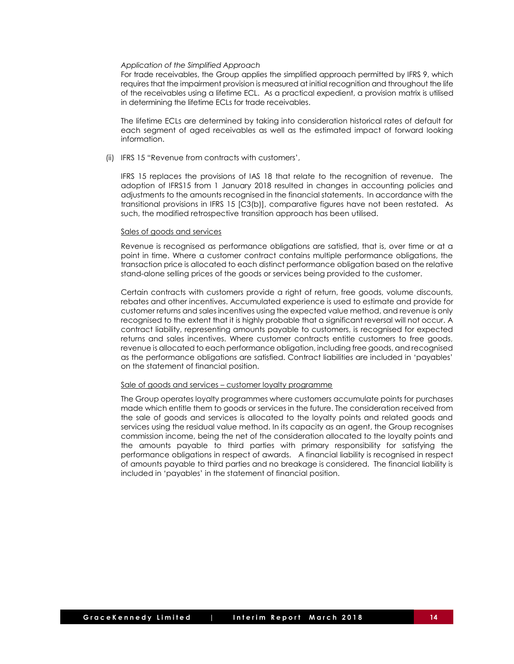### *Application of the Simplified Approach*

For trade receivables, the Group applies the simplified approach permitted by IFRS 9, which requires that the impairment provision is measured at initial recognition and throughout the life of the receivables using a lifetime ECL. As a practical expedient, a provision matrix is utilised in determining the lifetime ECLs for trade receivables.

The lifetime ECLs are determined by taking into consideration historical rates of default for each segment of aged receivables as well as the estimated impact of forward looking information.

(ii) IFRS 15 "Revenue from contracts with customers',

IFRS 15 replaces the provisions of IAS 18 that relate to the recognition of revenue. The adoption of IFRS15 from 1 January 2018 resulted in changes in accounting policies and adjustments to the amounts recognised in the financial statements. In accordance with the transitional provisions in IFRS 15 [C3(b)], comparative figures have not been restated. As such, the modified retrospective transition approach has been utilised.

#### Sales of goods and services

Revenue is recognised as performance obligations are satisfied, that is, over time or at a point in time. Where a customer contract contains multiple performance obligations, the transaction price is allocated to each distinct performance obligation based on the relative stand-alone selling prices of the goods or services being provided to the customer.

Certain contracts with customers provide a right of return, free goods, volume discounts, rebates and other incentives. Accumulated experience is used to estimate and provide for customer returns and sales incentives using the expected value method, and revenue is only recognised to the extent that it is highly probable that a significant reversal will not occur. A contract liability, representing amounts payable to customers, is recognised for expected returns and sales incentives. Where customer contracts entitle customers to free goods, revenue is allocated to each performance obligation, including free goods, and recognised as the performance obligations are satisfied. Contract liabilities are included in 'payables' on the statement of financial position.

#### Sale of goods and services – customer loyalty programme

The Group operates loyalty programmes where customers accumulate points for purchases made which entitle them to goods or services in the future. The consideration received from the sale of goods and services is allocated to the loyalty points and related goods and services using the residual value method. In its capacity as an agent, the Group recognises commission income, being the net of the consideration allocated to the loyalty points and the amounts payable to third parties with primary responsibility for satisfying the performance obligations in respect of awards. A financial liability is recognised in respect of amounts payable to third parties and no breakage is considered. The financial liability is included in 'payables' in the statement of financial position.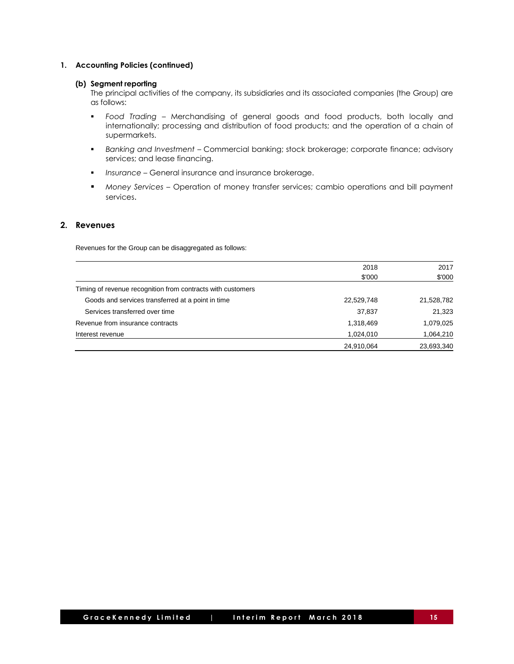## **1. Accounting Policies (continued)**

### **(b) Segment reporting**

The principal activities of the company, its subsidiaries and its associated companies (the Group) are as follows:

- *Food Trading –* Merchandising of general goods and food products, both locally and internationally; processing and distribution of food products; and the operation of a chain of supermarkets.
- *Banking and Investment –* Commercial banking; stock brokerage; corporate finance; advisory services; and lease financing.
- *Insurance –* General insurance and insurance brokerage.
- *Money Services –* Operation of money transfer services; cambio operations and bill payment services.

## **2. Revenues**

Revenues for the Group can be disaggregated as follows:

|                                                             | 2018       | 2017       |
|-------------------------------------------------------------|------------|------------|
|                                                             | \$'000     | \$'000     |
| Timing of revenue recognition from contracts with customers |            |            |
| Goods and services transferred at a point in time           | 22,529,748 | 21,528,782 |
| Services transferred over time                              | 37,837     | 21,323     |
| Revenue from insurance contracts                            | 1,318,469  | 1,079,025  |
| Interest revenue                                            | 1,024,010  | 1,064,210  |
|                                                             | 24,910,064 | 23,693,340 |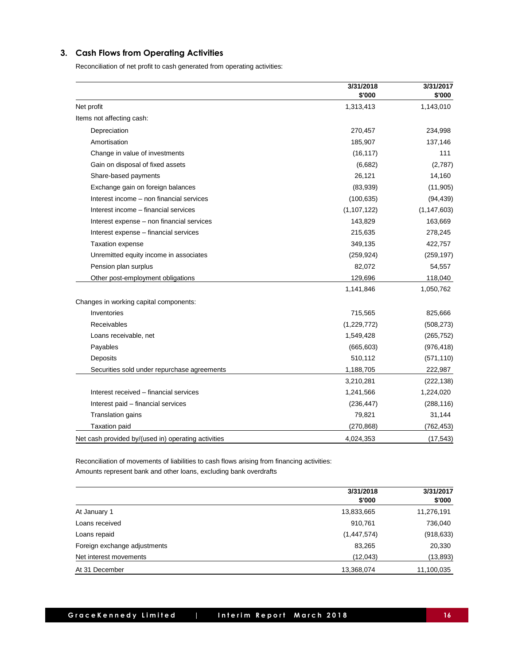# **3. Cash Flows from Operating Activities**

Reconciliation of net profit to cash generated from operating activities:

|                                                     | 3/31/2018<br>\$'000 | 3/31/2017<br>\$'000 |
|-----------------------------------------------------|---------------------|---------------------|
| Net profit                                          | 1,313,413           | 1,143,010           |
| Items not affecting cash:                           |                     |                     |
| Depreciation                                        | 270,457             | 234,998             |
| Amortisation                                        | 185,907             | 137,146             |
| Change in value of investments                      | (16, 117)           | 111                 |
| Gain on disposal of fixed assets                    | (6,682)             | (2,787)             |
| Share-based payments                                | 26,121              | 14,160              |
| Exchange gain on foreign balances                   | (83,939)            | (11, 905)           |
| Interest income - non financial services            | (100, 635)          | (94, 439)           |
| Interest income - financial services                | (1, 107, 122)       | (1, 147, 603)       |
| Interest expense - non financial services           | 143,829             | 163,669             |
| Interest expense - financial services               | 215,635             | 278,245             |
| <b>Taxation expense</b>                             | 349,135             | 422,757             |
| Unremitted equity income in associates              | (259, 924)          | (259, 197)          |
| Pension plan surplus                                | 82,072              | 54,557              |
| Other post-employment obligations                   | 129,696             | 118,040             |
|                                                     | 1,141,846           | 1,050,762           |
| Changes in working capital components:              |                     |                     |
| Inventories                                         | 715,565             | 825,666             |
| Receivables                                         | (1,229,772)         | (508, 273)          |
| Loans receivable, net                               | 1,549,428           | (265, 752)          |
| Payables                                            | (665, 603)          | (976, 418)          |
| Deposits                                            | 510,112             | (571, 110)          |
| Securities sold under repurchase agreements         | 1,188,705           | 222,987             |
|                                                     | 3,210,281           | (222, 138)          |
| Interest received - financial services              | 1,241,566           | 1,224,020           |
| Interest paid - financial services                  | (236, 447)          | (288, 116)          |
| Translation gains                                   | 79,821              | 31,144              |
| <b>Taxation paid</b>                                | (270, 868)          | (762, 453)          |
| Net cash provided by/(used in) operating activities | 4,024,353           | (17, 543)           |

Reconciliation of movements of liabilities to cash flows arising from financing activities: Amounts represent bank and other loans, excluding bank overdrafts

|                              | 3/31/2018<br>\$'000 | 3/31/2017<br>\$'000 |  |
|------------------------------|---------------------|---------------------|--|
| At January 1                 | 13,833,665          | 11,276,191          |  |
| Loans received               | 910,761             | 736,040             |  |
| Loans repaid                 | (1,447,574)         | (918, 633)          |  |
| Foreign exchange adjustments | 83,265              | 20,330              |  |
| Net interest movements       | (12,043)            | (13,893)            |  |
| At 31 December               | 13,368,074          | 11,100,035          |  |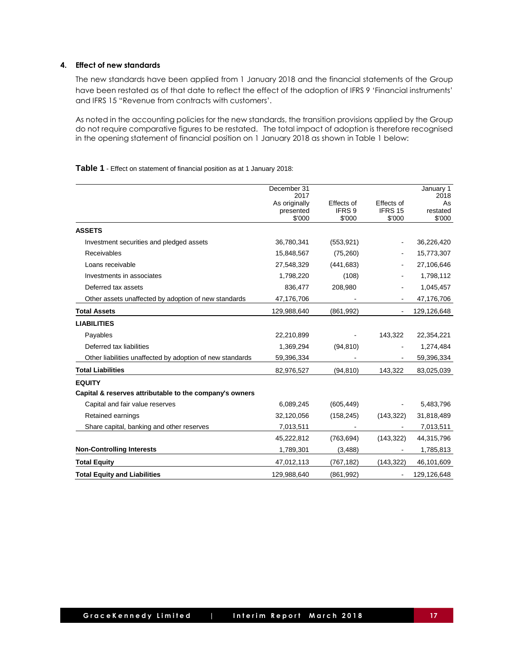# **4. Effect of new standards**

The new standards have been applied from 1 January 2018 and the financial statements of the Group have been restated as of that date to reflect the effect of the adoption of IFRS 9 'Financial instruments' and IFRS 15 "Revenue from contracts with customers'.

As noted in the accounting policies for the new standards, the transition provisions applied by the Group do not require comparative figures to be restated. The total impact of adoption is therefore recognised in the opening statement of financial position on 1 January 2018 as shown in Table 1 below:

**Table 1** - Effect on statement of financial position as at 1 January 2018:

|                                                           | December 31<br>2017                  |                                |                                 | January 1<br>2018        |
|-----------------------------------------------------------|--------------------------------------|--------------------------------|---------------------------------|--------------------------|
|                                                           | As originally<br>presented<br>\$'000 | Effects of<br>IFRS 9<br>\$'000 | Effects of<br>IFRS 15<br>\$'000 | As<br>restated<br>\$'000 |
| <b>ASSETS</b>                                             |                                      |                                |                                 |                          |
| Investment securities and pledged assets                  | 36,780,341                           | (553, 921)                     |                                 | 36,226,420               |
| Receivables                                               | 15,848,567                           | (75, 260)                      |                                 | 15,773,307               |
| Loans receivable                                          | 27,548,329                           | (441, 683)                     |                                 | 27,106,646               |
| Investments in associates                                 | 1,798,220                            | (108)                          |                                 | 1,798,112                |
| Deferred tax assets                                       | 836,477                              | 208,980                        |                                 | 1,045,457                |
| Other assets unaffected by adoption of new standards      | 47,176,706                           |                                |                                 | 47,176,706               |
| <b>Total Assets</b>                                       | 129,988,640                          | (861, 992)                     | $\blacksquare$                  | 129,126,648              |
| <b>LIABILITIES</b>                                        |                                      |                                |                                 |                          |
| Payables                                                  | 22,210,899                           |                                | 143,322                         | 22,354,221               |
| Deferred tax liabilities                                  | 1,369,294                            | (94, 810)                      |                                 | 1,274,484                |
| Other liabilities unaffected by adoption of new standards | 59,396,334                           |                                | $\blacksquare$                  | 59,396,334               |
| <b>Total Liabilities</b>                                  | 82,976,527                           | (94, 810)                      | 143,322                         | 83,025,039               |
| <b>EQUITY</b>                                             |                                      |                                |                                 |                          |
| Capital & reserves attributable to the company's owners   |                                      |                                |                                 |                          |
| Capital and fair value reserves                           | 6,089,245                            | (605, 449)                     |                                 | 5,483,796                |
| Retained earnings                                         | 32,120,056                           | (158, 245)                     | (143, 322)                      | 31,818,489               |
| Share capital, banking and other reserves                 | 7,013,511                            |                                |                                 | 7,013,511                |
|                                                           | 45,222,812                           | (763, 694)                     | (143, 322)                      | 44,315,796               |
| <b>Non-Controlling Interests</b>                          | 1,789,301                            | (3,488)                        |                                 | 1,785,813                |
| <b>Total Equity</b>                                       | 47,012,113                           | (767, 182)                     | (143, 322)                      | 46,101,609               |
| <b>Total Equity and Liabilities</b>                       | 129,988,640                          | (861, 992)                     |                                 | 129,126,648              |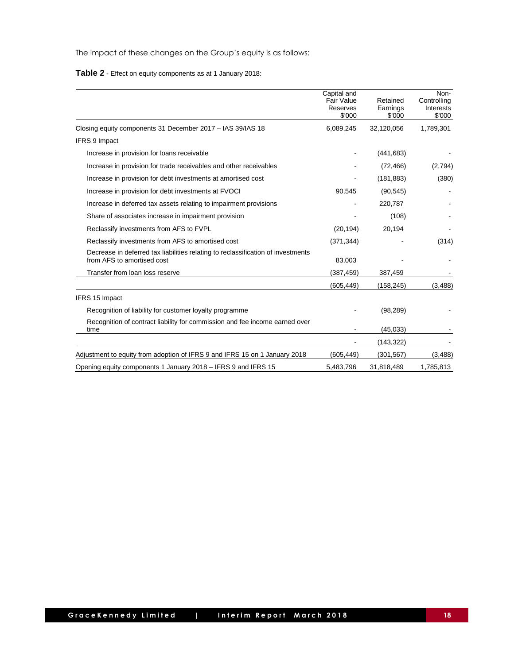The impact of these changes on the Group's equity is as follows:

**Table 2** - Effect on equity components as at 1 January 2018:

|                                                                                                                | Capital and<br>Fair Value<br>Reserves<br>\$'000 | Retained<br>Earnings<br>\$'000 | Non-<br>Controlling<br>Interests<br>\$'000 |
|----------------------------------------------------------------------------------------------------------------|-------------------------------------------------|--------------------------------|--------------------------------------------|
| Closing equity components 31 December 2017 - IAS 39/IAS 18                                                     | 6,089,245                                       | 32,120,056                     | 1,789,301                                  |
| <b>IFRS 9 Impact</b>                                                                                           |                                                 |                                |                                            |
| Increase in provision for loans receivable                                                                     |                                                 | (441, 683)                     |                                            |
| Increase in provision for trade receivables and other receivables                                              |                                                 | (72, 466)                      | (2,794)                                    |
| Increase in provision for debt investments at amortised cost                                                   |                                                 | (181, 883)                     | (380)                                      |
| Increase in provision for debt investments at FVOCI                                                            | 90,545                                          | (90, 545)                      |                                            |
| Increase in deferred tax assets relating to impairment provisions                                              |                                                 | 220,787                        |                                            |
| Share of associates increase in impairment provision                                                           |                                                 | (108)                          |                                            |
| Reclassify investments from AFS to FVPL                                                                        | (20, 194)                                       | 20,194                         |                                            |
| Reclassify investments from AFS to amortised cost                                                              | (371, 344)                                      |                                | (314)                                      |
| Decrease in deferred tax liabilities relating to reclassification of investments<br>from AFS to amortised cost | 83,003                                          |                                |                                            |
| Transfer from loan loss reserve                                                                                | (387, 459)                                      | 387,459                        |                                            |
|                                                                                                                | (605, 449)                                      | (158, 245)                     | (3, 488)                                   |
| IFRS 15 Impact                                                                                                 |                                                 |                                |                                            |
| Recognition of liability for customer loyalty programme                                                        |                                                 | (98, 289)                      |                                            |
| Recognition of contract liability for commission and fee income earned over<br>time                            |                                                 | (45, 033)                      |                                            |
|                                                                                                                |                                                 | (143, 322)                     |                                            |
| Adjustment to equity from adoption of IFRS 9 and IFRS 15 on 1 January 2018                                     | (605,449)                                       | (301, 567)                     | (3,488)                                    |
| Opening equity components 1 January 2018 – IFRS 9 and IFRS 15                                                  | 5,483,796                                       | 31,818,489                     | 1,785,813                                  |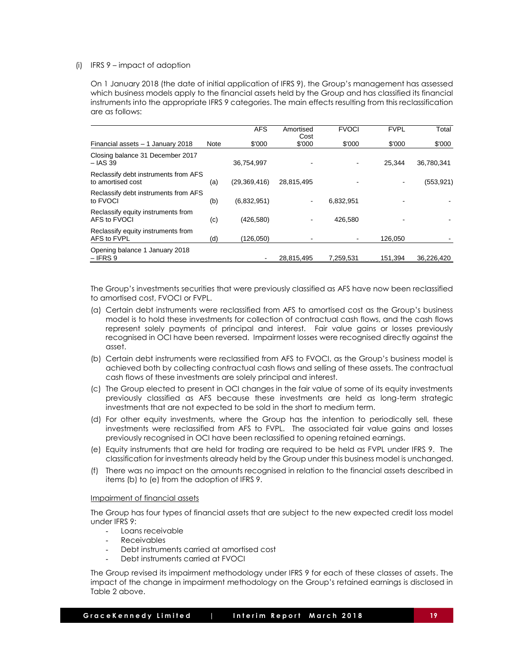### (i) IFRS 9 – impact of adoption

On 1 January 2018 (the date of initial application of IFRS 9), the Group's management has assessed which business models apply to the financial assets held by the Group and has classified its financial instruments into the appropriate IFRS 9 categories. The main effects resulting from this reclassification are as follows:

|                                                           |      | <b>AFS</b>     | Amortised<br>Cost | <b>FVOCI</b> | <b>FVPL</b> | Total      |
|-----------------------------------------------------------|------|----------------|-------------------|--------------|-------------|------------|
| Financial assets - 1 January 2018                         | Note | \$'000         | \$'000            | \$'000       | \$'000      | \$'000     |
| Closing balance 31 December 2017<br>$-$ IAS 39            |      | 36.754.997     |                   |              | 25.344      | 36.780.341 |
| Reclassify debt instruments from AFS<br>to amortised cost | (a)  | (29, 369, 416) | 28,815,495        |              |             | (553, 921) |
| Reclassify debt instruments from AFS<br>to FVOCI          | (b)  | (6,832,951)    | $\blacksquare$    | 6,832,951    |             |            |
| Reclassify equity instruments from<br>AFS to FVOCI        | (c)  | (426,580)      |                   | 426,580      |             |            |
| Reclassify equity instruments from<br>AFS to FVPL         | (d)  | (126.050)      |                   |              | 126.050     |            |
| Opening balance 1 January 2018<br>$-$ IFRS 9              |      |                | 28,815,495        | 7.259.531    | 151.394     | 36.226.420 |

The Group's investments securities that were previously classified as AFS have now been reclassified to amortised cost, FVOCI or FVPL.

- (a) Certain debt instruments were reclassified from AFS to amortised cost as the Group's business model is to hold these investments for collection of contractual cash flows, and the cash flows represent solely payments of principal and interest. Fair value gains or losses previously recognised in OCI have been reversed. Impairment losses were recognised directly against the asset.
- (b) Certain debt instruments were reclassified from AFS to FVOCI, as the Group's business model is achieved both by collecting contractual cash flows and selling of these assets. The contractual cash flows of these investments are solely principal and interest.
- (c) The Group elected to present in OCI changes in the fair value of some of its equity investments previously classified as AFS because these investments are held as long-term strategic investments that are not expected to be sold in the short to medium term.
- (d) For other equity investments, where the Group has the intention to periodically sell, these investments were reclassified from AFS to FVPL. The associated fair value gains and losses previously recognised in OCI have been reclassified to opening retained earnings.
- (e) Equity instruments that are held for trading are required to be held as FVPL under IFRS 9. The classification for investments already held by the Group under this business model is unchanged.
- (f) There was no impact on the amounts recognised in relation to the financial assets described in items (b) to (e) from the adoption of IFRS 9.

### Impairment of financial assets

The Group has four types of financial assets that are subject to the new expected credit loss model under IFRS 9:

- Loans receivable
- **Receivables**
- Debt instruments carried at amortised cost
- Debt instruments carried at FVOCI

The Group revised its impairment methodology under IFRS 9 for each of these classes of assets. The impact of the change in impairment methodology on the Group's retained earnings is disclosed in Table 2 above.